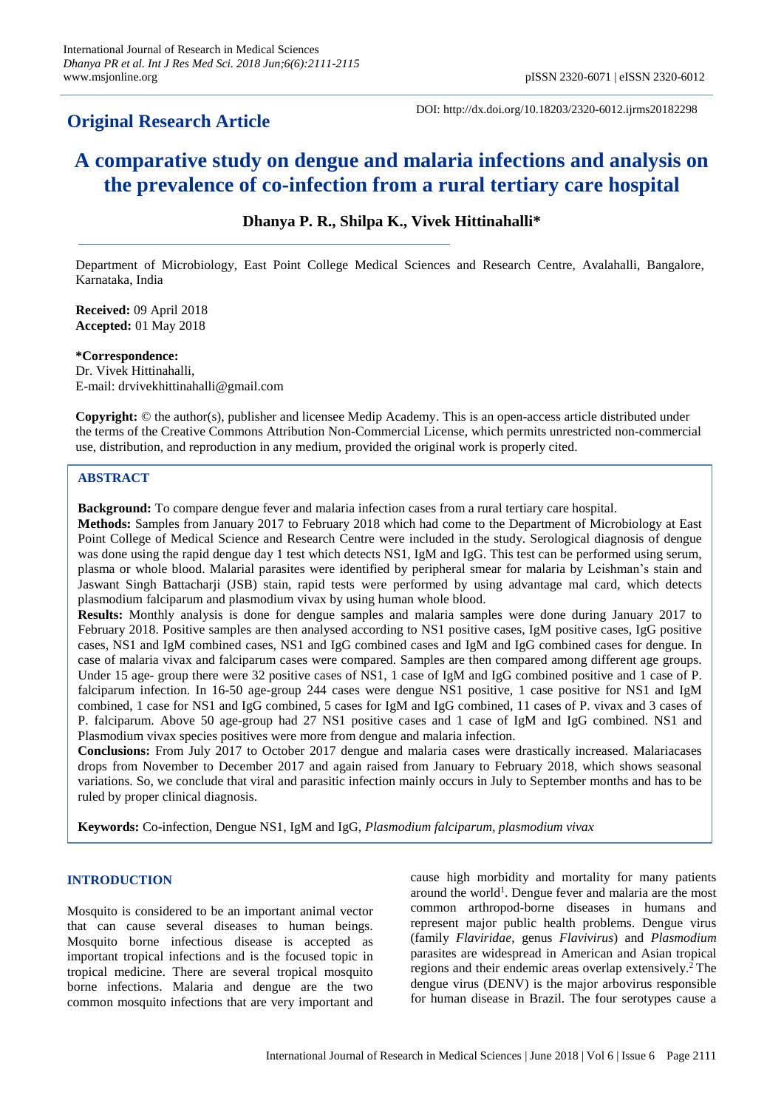# **Original Research Article**

DOI: http://dx.doi.org/10.18203/2320-6012.ijrms20182298

# **A comparative study on dengue and malaria infections and analysis on the prevalence of co-infection from a rural tertiary care hospital**

# **Dhanya P. R., Shilpa K., Vivek Hittinahalli\***

Department of Microbiology, East Point College Medical Sciences and Research Centre, Avalahalli, Bangalore, Karnataka, India

**Received:** 09 April 2018 **Accepted:** 01 May 2018

**\*Correspondence:** Dr. Vivek Hittinahalli, E-mail: drvivekhittinahalli@gmail.com

**Copyright:** © the author(s), publisher and licensee Medip Academy. This is an open-access article distributed under the terms of the Creative Commons Attribution Non-Commercial License, which permits unrestricted non-commercial use, distribution, and reproduction in any medium, provided the original work is properly cited.

## **ABSTRACT**

**Background:** To compare dengue fever and malaria infection cases from a rural tertiary care hospital.

**Methods:** Samples from January 2017 to February 2018 which had come to the Department of Microbiology at East Point College of Medical Science and Research Centre were included in the study. Serological diagnosis of dengue was done using the rapid dengue day 1 test which detects NS1, IgM and IgG. This test can be performed using serum, plasma or whole blood. Malarial parasites were identified by peripheral smear for malaria by Leishman's stain and Jaswant Singh Battacharji (JSB) stain, rapid tests were performed by using advantage mal card, which detects plasmodium falciparum and plasmodium vivax by using human whole blood.

**Results:** Monthly analysis is done for dengue samples and malaria samples were done during January 2017 to February 2018. Positive samples are then analysed according to NS1 positive cases, IgM positive cases, IgG positive cases, NS1 and IgM combined cases, NS1 and IgG combined cases and IgM and IgG combined cases for dengue. In case of malaria vivax and falciparum cases were compared. Samples are then compared among different age groups. Under 15 age- group there were 32 positive cases of NS1, 1 case of IgM and IgG combined positive and 1 case of P. falciparum infection. In 16-50 age-group 244 cases were dengue NS1 positive, 1 case positive for NS1 and IgM combined, 1 case for NS1 and IgG combined, 5 cases for IgM and IgG combined, 11 cases of P. vivax and 3 cases of P. falciparum. Above 50 age-group had 27 NS1 positive cases and 1 case of IgM and IgG combined. NS1 and Plasmodium vivax species positives were more from dengue and malaria infection.

**Conclusions:** From July 2017 to October 2017 dengue and malaria cases were drastically increased. Malariacases drops from November to December 2017 and again raised from January to February 2018, which shows seasonal variations. So, we conclude that viral and parasitic infection mainly occurs in July to September months and has to be ruled by proper clinical diagnosis.

**Keywords:** Co-infection, Dengue NS1, IgM and IgG, *Plasmodium falciparum, plasmodium vivax*

#### **INTRODUCTION**

Mosquito is considered to be an important animal vector that can cause several diseases to human beings. Mosquito borne infectious disease is accepted as important tropical infections and is the focused topic in tropical medicine. There are several tropical mosquito borne infections. Malaria and dengue are the two common mosquito infections that are very important and cause high morbidity and mortality for many patients around the world<sup>1</sup>. Dengue fever and malaria are the most common arthropod-borne diseases in humans and represent major public health problems. Dengue virus (family *Flaviridae*, genus *Flavivirus*) and *Plasmodium* parasites are widespread in American and Asian tropical regions and their endemic areas overlap extensively. <sup>2</sup> The dengue virus (DENV) is the major arbovirus responsible for human disease in Brazil. The four serotypes cause a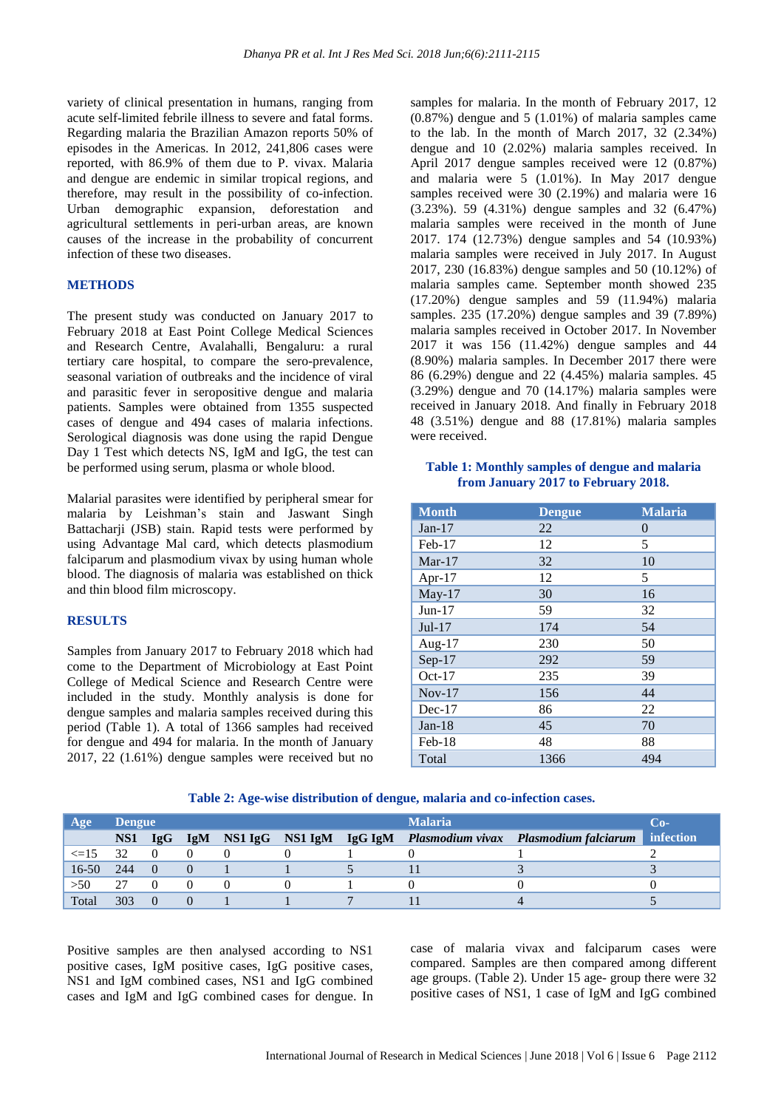variety of clinical presentation in humans, ranging from acute self-limited febrile illness to severe and fatal forms. Regarding malaria the Brazilian Amazon reports 50% of episodes in the Americas. In 2012, 241,806 cases were reported, with 86.9% of them due to P. vivax. Malaria and dengue are endemic in similar tropical regions, and therefore, may result in the possibility of co-infection. Urban demographic expansion, deforestation and agricultural settlements in peri-urban areas, are known causes of the increase in the probability of concurrent infection of these two diseases.

## **METHODS**

The present study was conducted on January 2017 to February 2018 at East Point College Medical Sciences and Research Centre, Avalahalli, Bengaluru: a rural tertiary care hospital, to compare the sero-prevalence, seasonal variation of outbreaks and the incidence of viral and parasitic fever in seropositive dengue and malaria patients. Samples were obtained from 1355 suspected cases of dengue and 494 cases of malaria infections. Serological diagnosis was done using the rapid Dengue Day 1 Test which detects NS, IgM and IgG, the test can be performed using serum, plasma or whole blood.

Malarial parasites were identified by peripheral smear for malaria by Leishman's stain and Jaswant Singh Battacharji (JSB) stain. Rapid tests were performed by using Advantage Mal card, which detects plasmodium falciparum and plasmodium vivax by using human whole blood. The diagnosis of malaria was established on thick and thin blood film microscopy.

#### **RESULTS**

Samples from January 2017 to February 2018 which had come to the Department of Microbiology at East Point College of Medical Science and Research Centre were included in the study. Monthly analysis is done for dengue samples and malaria samples received during this period (Table 1). A total of 1366 samples had received for dengue and 494 for malaria. In the month of January 2017, 22 (1.61%) dengue samples were received but no samples for malaria. In the month of February 2017, 12 (0.87%) dengue and 5 (1.01%) of malaria samples came to the lab. In the month of March 2017, 32 (2.34%) dengue and 10 (2.02%) malaria samples received. In April 2017 dengue samples received were 12 (0.87%) and malaria were 5 (1.01%). In May 2017 dengue samples received were 30 (2.19%) and malaria were 16 (3.23%). 59 (4.31%) dengue samples and 32 (6.47%) malaria samples were received in the month of June 2017. 174 (12.73%) dengue samples and 54 (10.93%) malaria samples were received in July 2017. In August 2017, 230 (16.83%) dengue samples and 50 (10.12%) of malaria samples came. September month showed 235 (17.20%) dengue samples and 59 (11.94%) malaria samples. 235 (17.20%) dengue samples and 39 (7.89%) malaria samples received in October 2017. In November 2017 it was 156 (11.42%) dengue samples and 44 (8.90%) malaria samples. In December 2017 there were 86 (6.29%) dengue and 22 (4.45%) malaria samples. 45 (3.29%) dengue and 70 (14.17%) malaria samples were received in January 2018. And finally in February 2018 48 (3.51%) dengue and 88 (17.81%) malaria samples were received.

## **Table 1: Monthly samples of dengue and malaria from January 2017 to February 2018.**

| <b>Month</b> | <b>Dengue</b> | <b>Malaria</b> |
|--------------|---------------|----------------|
| Jan- $17$    | 22            | 0              |
| $Feb-17$     | 12            | 5              |
| $Mar-17$     | 32            | 10             |
| Apr- $17$    | 12            | 5              |
| $May-17$     | 30            | 16             |
| $Jun-17$     | 59            | 32             |
| $Jul-17$     | 174           | 54             |
| Aug- $17$    | 230           | 50             |
| $Sep-17$     | 292           | 59             |
| $Oct-17$     | 235           | 39             |
| $Nov-17$     | 156           | 44             |
| $Dec-17$     | 86            | 22             |
| $Jan-18$     | 45            | 70             |
| $Feb-18$     | 48            | 88             |
| Total        | 1366          | 494            |

|  |  |  |  |  |  | Table 2: Age-wise distribution of dengue, malaria and co-infection cases. |  |
|--|--|--|--|--|--|---------------------------------------------------------------------------|--|
|--|--|--|--|--|--|---------------------------------------------------------------------------|--|

| Age       | <b>Dengue</b> |     |  |  | <b>Malaria</b> | േ -                                                               |           |
|-----------|---------------|-----|--|--|----------------|-------------------------------------------------------------------|-----------|
|           | NS1           | IgG |  |  |                | IgM NS1 IgG NS1 IgM IgG IgM Plasmodium vivax Plasmodium falciarum | infection |
| $\leq$ 15 | 32            |     |  |  |                |                                                                   |           |
| $16-50$   | 244           |     |  |  |                |                                                                   |           |
| >50       | 27            |     |  |  |                |                                                                   |           |
| Total     | 303           |     |  |  |                |                                                                   |           |

Positive samples are then analysed according to NS1 positive cases, IgM positive cases, IgG positive cases, NS1 and IgM combined cases, NS1 and IgG combined cases and IgM and IgG combined cases for dengue. In case of malaria vivax and falciparum cases were compared. Samples are then compared among different age groups. (Table 2). Under 15 age- group there were 32 positive cases of NS1, 1 case of IgM and IgG combined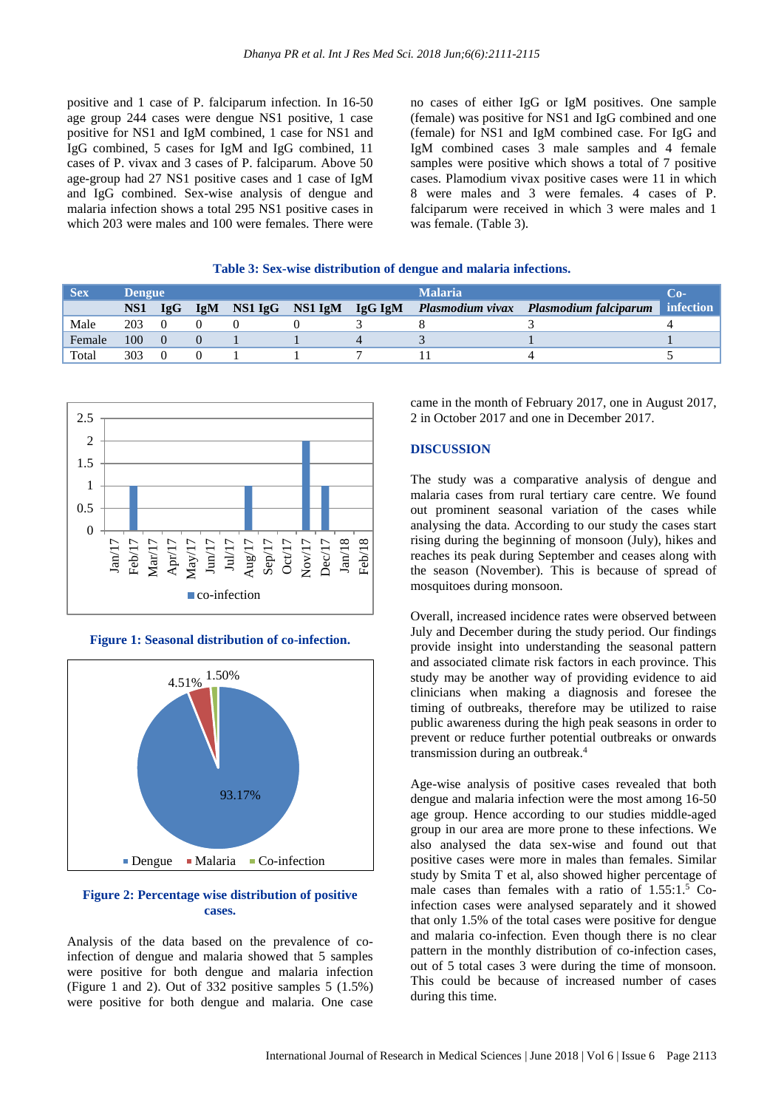positive and 1 case of P. falciparum infection. In 16-50 age group 244 cases were dengue NS1 positive, 1 case positive for NS1 and IgM combined, 1 case for NS1 and IgG combined, 5 cases for IgM and IgG combined, 11 cases of P. vivax and 3 cases of P. falciparum. Above 50 age-group had 27 NS1 positive cases and 1 case of IgM and IgG combined. Sex-wise analysis of dengue and malaria infection shows a total 295 NS1 positive cases in which 203 were males and 100 were females. There were no cases of either IgG or IgM positives. One sample (female) was positive for NS1 and IgG combined and one (female) for NS1 and IgM combined case. For IgG and IgM combined cases 3 male samples and 4 female samples were positive which shows a total of 7 positive cases. Plamodium vivax positive cases were 11 in which 8 were males and 3 were females. 4 cases of P. falciparum were received in which 3 were males and 1 was female. (Table 3).

#### **Table 3: Sex-wise distribution of dengue and malaria infections.**

| <b>Sex</b> | <b>Dengue</b>   |     |            |                 |         | <b>Malaria</b> | Co-                                    |           |
|------------|-----------------|-----|------------|-----------------|---------|----------------|----------------------------------------|-----------|
|            | NS <sub>1</sub> | IgG | <b>IgM</b> | NS1 IgG NS1 IgM | IgG IgM |                | Plasmodium vivax Plasmodium falciparum | infection |
| Male       | 203             |     |            |                 |         |                |                                        |           |
| Female     | 100             |     |            |                 |         |                |                                        |           |
| Total      | 303             |     |            |                 |         |                |                                        |           |



**Figure 1: Seasonal distribution of co-infection.**



#### **Figure 2: Percentage wise distribution of positive cases.**

Analysis of the data based on the prevalence of coinfection of dengue and malaria showed that 5 samples were positive for both dengue and malaria infection (Figure 1 and 2). Out of 332 positive samples 5 (1.5%) were positive for both dengue and malaria. One case came in the month of February 2017, one in August 2017, 2 in October 2017 and one in December 2017.

#### **DISCUSSION**

The study was a comparative analysis of dengue and malaria cases from rural tertiary care centre. We found out prominent seasonal variation of the cases while analysing the data. According to our study the cases start rising during the beginning of monsoon (July), hikes and reaches its peak during September and ceases along with the season (November). This is because of spread of mosquitoes during monsoon.

Overall, increased incidence rates were observed between July and December during the study period. Our findings provide insight into understanding the seasonal pattern and associated climate risk factors in each province. This study may be another way of providing evidence to aid clinicians when making a diagnosis and foresee the timing of outbreaks, therefore may be utilized to raise public awareness during the high peak seasons in order to prevent or reduce further potential outbreaks or onwards transmission during an outbreak. 4

Age-wise analysis of positive cases revealed that both dengue and malaria infection were the most among 16-50 age group. Hence according to our studies middle-aged group in our area are more prone to these infections. We also analysed the data sex-wise and found out that positive cases were more in males than females. Similar study by Smita T et al, also showed higher percentage of male cases than females with a ratio of 1.55:1.<sup>5</sup> Coinfection cases were analysed separately and it showed that only 1.5% of the total cases were positive for dengue and malaria co-infection. Even though there is no clear pattern in the monthly distribution of co-infection cases, out of 5 total cases 3 were during the time of monsoon. This could be because of increased number of cases during this time.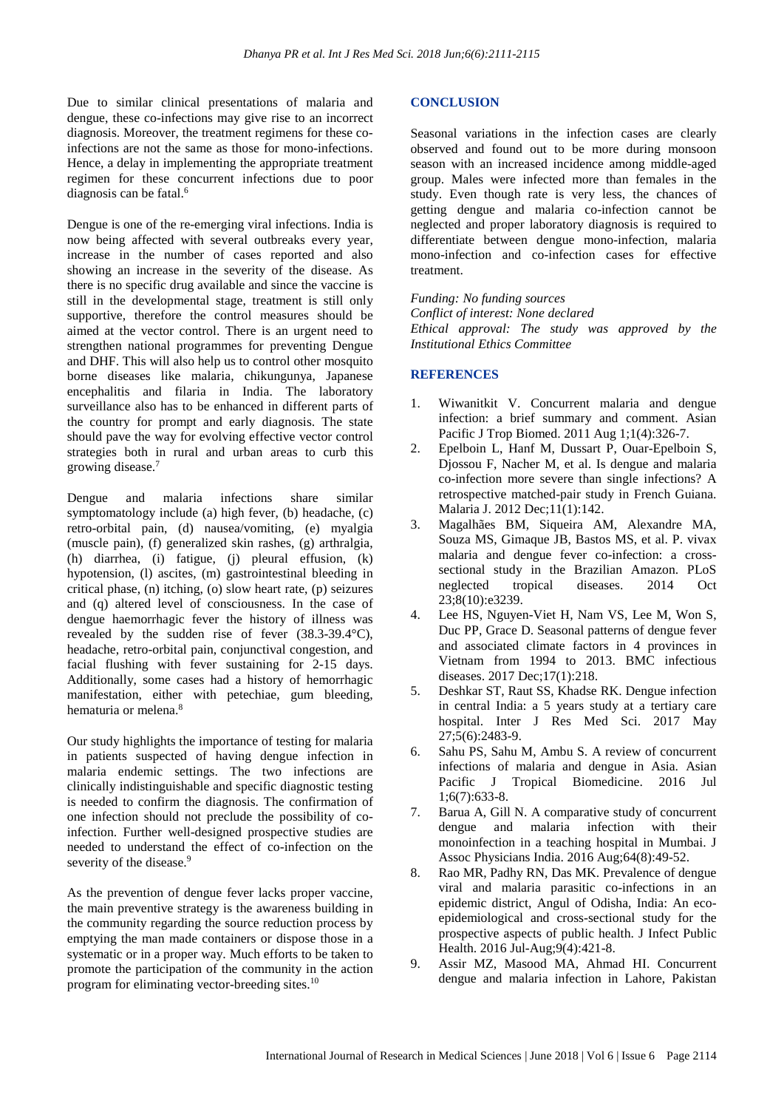Due to similar clinical presentations of malaria and dengue, these co-infections may give rise to an incorrect diagnosis. Moreover, the treatment regimens for these coinfections are not the same as those for mono-infections. Hence, a delay in implementing the appropriate treatment regimen for these concurrent infections due to poor diagnosis can be fatal. 6

Dengue is one of the re-emerging viral infections. India is now being affected with several outbreaks every year, increase in the number of cases reported and also showing an increase in the severity of the disease. As there is no specific drug available and since the vaccine is still in the developmental stage, treatment is still only supportive, therefore the control measures should be aimed at the vector control. There is an urgent need to strengthen national programmes for preventing Dengue and DHF. This will also help us to control other mosquito borne diseases like malaria, chikungunya, Japanese encephalitis and filaria in India. The laboratory surveillance also has to be enhanced in different parts of the country for prompt and early diagnosis. The state should pave the way for evolving effective vector control strategies both in rural and urban areas to curb this growing disease. 7

Dengue and malaria infections share similar symptomatology include (a) high fever, (b) headache, (c) retro-orbital pain, (d) nausea/vomiting, (e) myalgia (muscle pain), (f) generalized skin rashes, (g) arthralgia, (h) diarrhea, (i) fatigue, (j) pleural effusion, (k) hypotension, (l) ascites, (m) gastrointestinal bleeding in critical phase, (n) itching, (o) slow heart rate, (p) seizures and (q) altered level of consciousness. In the case of dengue haemorrhagic fever the history of illness was revealed by the sudden rise of fever (38.3-39.4°C), headache, retro-orbital pain, conjunctival congestion, and facial flushing with fever sustaining for 2-15 days. Additionally, some cases had a history of hemorrhagic manifestation, either with petechiae, gum bleeding, hematuria or melena. 8

Our study highlights the importance of testing for malaria in patients suspected of having dengue infection in malaria endemic settings. The two infections are clinically indistinguishable and specific diagnostic testing is needed to confirm the diagnosis. The confirmation of one infection should not preclude the possibility of coinfection. Further well-designed prospective studies are needed to understand the effect of co-infection on the severity of the disease.<sup>9</sup>

As the prevention of dengue fever lacks proper vaccine, the main preventive strategy is the awareness building in the community regarding the source reduction process by emptying the man made containers or dispose those in a systematic or in a proper way. Much efforts to be taken to promote the participation of the community in the action program for eliminating vector-breeding sites.<sup>10</sup>

#### **CONCLUSION**

Seasonal variations in the infection cases are clearly observed and found out to be more during monsoon season with an increased incidence among middle-aged group. Males were infected more than females in the study. Even though rate is very less, the chances of getting dengue and malaria co-infection cannot be neglected and proper laboratory diagnosis is required to differentiate between dengue mono-infection, malaria mono-infection and co-infection cases for effective treatment.

*Funding: No funding sources Conflict of interest: None declared Ethical approval: The study was approved by the Institutional Ethics Committee*

## **REFERENCES**

- 1. Wiwanitkit V. Concurrent malaria and dengue infection: a brief summary and comment. Asian Pacific J Trop Biomed. 2011 Aug 1;1(4):326-7.
- 2. Epelboin L, Hanf M, Dussart P, Ouar-Epelboin S, Djossou F, Nacher M, et al. Is dengue and malaria co-infection more severe than single infections? A retrospective matched-pair study in French Guiana. Malaria J. 2012 Dec;11(1):142.
- 3. Magalhães BM, Siqueira AM, Alexandre MA, Souza MS, Gimaque JB, Bastos MS, et al. P. vivax malaria and dengue fever co-infection: a crosssectional study in the Brazilian Amazon. PLoS neglected tropical diseases. 2014 Oct 23;8(10):e3239.
- 4. Lee HS, Nguyen-Viet H, Nam VS, Lee M, Won S, Duc PP, Grace D. Seasonal patterns of dengue fever and associated climate factors in 4 provinces in Vietnam from 1994 to 2013. BMC infectious diseases. 2017 Dec;17(1):218.
- 5. Deshkar ST, Raut SS, Khadse RK. Dengue infection in central India: a 5 years study at a tertiary care hospital. Inter J Res Med Sci. 2017 May 27;5(6):2483-9.
- 6. Sahu PS, Sahu M, Ambu S. A review of concurrent infections of malaria and dengue in Asia. Asian Pacific J Tropical Biomedicine. 2016 Jul 1;6(7):633-8.
- 7. Barua A, Gill N. A comparative study of concurrent dengue and malaria infection with their monoinfection in a teaching hospital in Mumbai. J Assoc Physicians India. 2016 Aug;64(8):49-52.
- 8. Rao MR, Padhy RN, Das MK. Prevalence of dengue viral and malaria parasitic co-infections in an epidemic district, Angul of Odisha, India: An ecoepidemiological and cross-sectional study for the prospective aspects of public health. J Infect Public Health. 2016 Jul-Aug;9(4):421-8.
- 9. Assir MZ, Masood MA, Ahmad HI. Concurrent dengue and malaria infection in Lahore, Pakistan